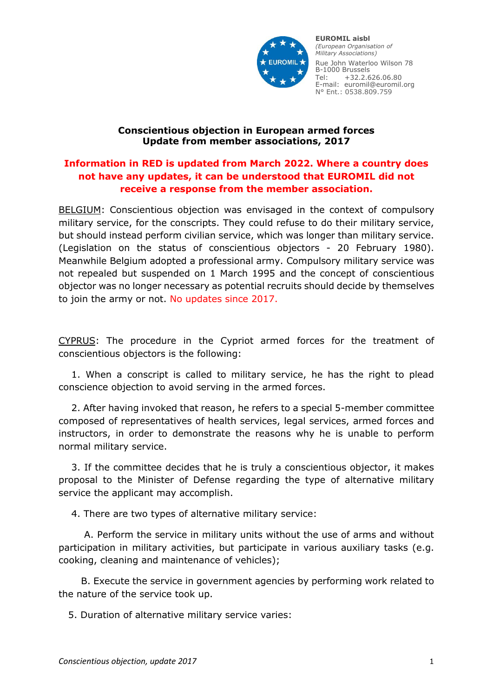

## **Conscientious objection in European armed forces Update from member associations, 2017**

## **Information in RED is updated from March 2022. Where a country does not have any updates, it can be understood that EUROMIL did not receive a response from the member association.**

BELGIUM: Conscientious objection was envisaged in the context of compulsory military service, for the conscripts. They could refuse to do their military service, but should instead perform civilian service, which was longer than military service. (Legislation on the status of conscientious objectors - 20 February 1980). Meanwhile Belgium adopted a professional army. Compulsory military service was not repealed but suspended on 1 March 1995 and the concept of conscientious objector was no longer necessary as potential recruits should decide by themselves to join the army or not. No updates since 2017.

CYPRUS: The procedure in the Cypriot armed forces for the treatment of conscientious objectors is the following:

 1. When a conscript is called to military service, he has the right to plead conscience objection to avoid serving in the armed forces.

 2. After having invoked that reason, he refers to a special 5-member committee composed of representatives of health services, legal services, armed forces and instructors, in order to demonstrate the reasons why he is unable to perform normal military service.

 3. If the committee decides that he is truly a conscientious objector, it makes proposal to the Minister of Defense regarding the type of alternative military service the applicant may accomplish.

4. There are two types of alternative military service:

 A. Perform the service in military units without the use of arms and without participation in military activities, but participate in various auxiliary tasks (e.g. cooking, cleaning and maintenance of vehicles);

 B. Execute the service in government agencies by performing work related to the nature of the service took up.

5. Duration of alternative military service varies: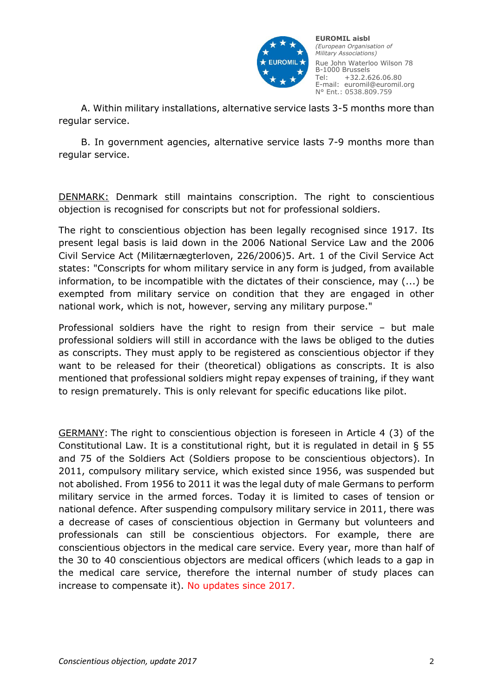

 A. Within military installations, alternative service lasts 3-5 months more than regular service.

 B. In government agencies, alternative service lasts 7-9 months more than regular service.

DENMARK: Denmark still maintains conscription. The right to conscientious objection is recognised for conscripts but not for professional soldiers.

The right to conscientious objection has been legally recognised since 1917. Its present legal basis is laid down in the 2006 National Service Law and the 2006 Civil Service Act (Militærnægterloven, 226/2006)5. Art. 1 of the Civil Service Act states: "Conscripts for whom military service in any form is judged, from available information, to be incompatible with the dictates of their conscience, may (...) be exempted from military service on condition that they are engaged in other national work, which is not, however, serving any military purpose."

Professional soldiers have the right to resign from their service – but male professional soldiers will still in accordance with the laws be obliged to the duties as conscripts. They must apply to be registered as conscientious objector if they want to be released for their (theoretical) obligations as conscripts. It is also mentioned that professional soldiers might repay expenses of training, if they want to resign prematurely. This is only relevant for specific educations like pilot.

GERMANY: The right to conscientious objection is foreseen in Article 4 (3) of the Constitutional Law. It is a constitutional right, but it is regulated in detail in § 55 and 75 of the Soldiers Act (Soldiers propose to be conscientious objectors). In 2011, compulsory military service, which existed since 1956, was suspended but not abolished. From 1956 to 2011 it was the legal duty of male Germans to perform military service in the armed forces. Today it is limited to cases of tension or national defence. After suspending compulsory military service in 2011, there was a decrease of cases of conscientious objection in Germany but volunteers and professionals can still be conscientious objectors. For example, there are conscientious objectors in the medical care service. Every year, more than half of the 30 to 40 conscientious objectors are medical officers (which leads to a gap in the medical care service, therefore the internal number of study places can increase to compensate it). No updates since 2017.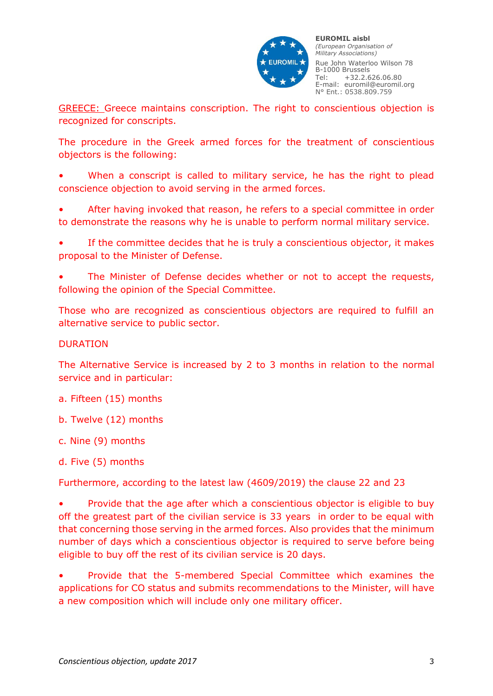

GREECE: Greece maintains conscription. The right to conscientious objection is recognized for conscripts.

The procedure in the Greek armed forces for the treatment of conscientious objectors is the following:

When a conscript is called to military service, he has the right to plead conscience objection to avoid serving in the armed forces.

After having invoked that reason, he refers to a special committee in order to demonstrate the reasons why he is unable to perform normal military service.

• If the committee decides that he is truly a conscientious objector, it makes proposal to the Minister of Defense.

The Minister of Defense decides whether or not to accept the requests, following the opinion of the Special Committee.

Those who are recognized as conscientious objectors are required to fulfill an alternative service to public sector.

## DURATION

The Alternative Service is increased by 2 to 3 months in relation to the normal service and in particular:

a. Fifteen (15) months

b. Twelve (12) months

c. Nine (9) months

d. Five (5) months

Furthermore, according to the latest law (4609/2019) the clause 22 and 23

• Provide that the age after which a conscientious objector is eligible to buy off the greatest part of the civilian service is 33 years in order to be equal with that concerning those serving in the armed forces. Also provides that the minimum number of days which a conscientious objector is required to serve before being eligible to buy off the rest of its civilian service is 20 days.

• Provide that the 5-membered Special Committee which examines the applications for CO status and submits recommendations to the Minister, will have a new composition which will include only one military officer.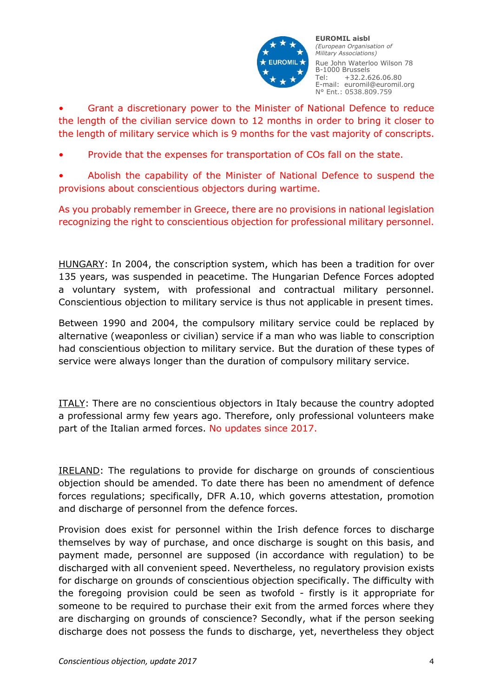

• Grant a discretionary power to the Minister of National Defence to reduce the length of the civilian service down to 12 months in order to bring it closer to the length of military service which is 9 months for the vast majority of conscripts.

• Provide that the expenses for transportation of COs fall on the state.

• Abolish the capability of the Minister of National Defence to suspend the provisions about conscientious objectors during wartime.

As you probably remember in Greece, there are no provisions in national legislation recognizing the right to conscientious objection for professional military personnel.

HUNGARY: In 2004, the conscription system, which has been a tradition for over 135 years, was suspended in peacetime. The Hungarian Defence Forces adopted a voluntary system, with professional and contractual military personnel. Conscientious objection to military service is thus not applicable in present times.

Between 1990 and 2004, the compulsory military service could be replaced by alternative (weaponless or civilian) service if a man who was liable to conscription had conscientious objection to military service. But the duration of these types of service were always longer than the duration of compulsory military service.

ITALY: There are no conscientious objectors in Italy because the country adopted a professional army few years ago. Therefore, only professional volunteers make part of the Italian armed forces. No updates since 2017.

IRELAND: The regulations to provide for discharge on grounds of conscientious objection should be amended. To date there has been no amendment of defence forces regulations; specifically, DFR A.10, which governs attestation, promotion and discharge of personnel from the defence forces.

Provision does exist for personnel within the Irish defence forces to discharge themselves by way of purchase, and once discharge is sought on this basis, and payment made, personnel are supposed (in accordance with regulation) to be discharged with all convenient speed. Nevertheless, no regulatory provision exists for discharge on grounds of conscientious objection specifically. The difficulty with the foregoing provision could be seen as twofold - firstly is it appropriate for someone to be required to purchase their exit from the armed forces where they are discharging on grounds of conscience? Secondly, what if the person seeking discharge does not possess the funds to discharge, yet, nevertheless they object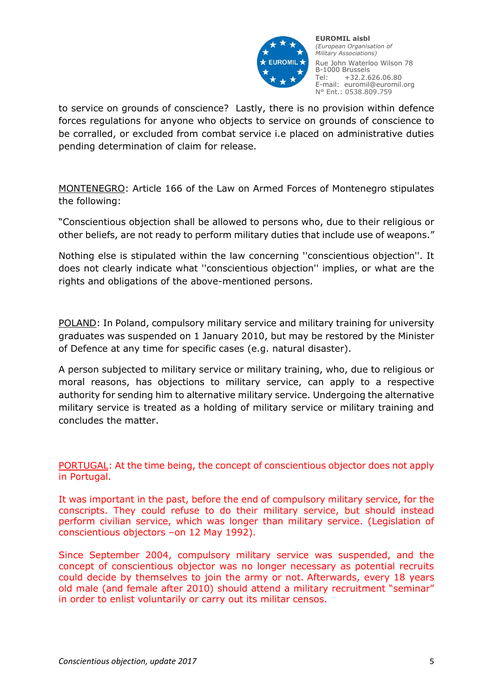

to service on grounds of conscience? Lastly, there is no provision within defence forces regulations for anyone who objects to service on grounds of conscience to be corralled, or excluded from combat service i.e placed on administrative duties pending determination of claim for release.

MONTENEGRO: Article 166 of the Law on Armed Forces of Montenegro stipulates the following:

"Conscientious objection shall be allowed to persons who, due to their religious or other beliefs, are not ready to perform military duties that include use of weapons."

Nothing else is stipulated within the law concerning ''conscientious objection''. It does not clearly indicate what ''conscientious objection'' implies, or what are the rights and obligations of the above-mentioned persons.

POLAND: In Poland, compulsory military service and military training for university graduates was suspended on 1 January 2010, but may be restored by the Minister of Defence at any time for specific cases (e.g. natural disaster).

A person subjected to military service or military training, who, due to religious or moral reasons, has objections to military service, can apply to a respective authority for sending him to alternative military service. Undergoing the alternative military service is treated as a holding of military service or military training and concludes the matter.

PORTUGAL: At the time being, the concept of conscientious objector does not apply in Portugal.

It was important in the past, before the end of compulsory military service, for the conscripts. They could refuse to do their military service, but should instead perform civilian service, which was longer than military service. (Legislation of conscientious objectors –on 12 May 1992).

Since September 2004, compulsory military service was suspended, and the concept of conscientious objector was no longer necessary as potential recruits could decide by themselves to join the army or not. Afterwards, every 18 years old male (and female after 2010) should attend a military recruitment "seminar" in order to enlist voluntarily or carry out its militar censos.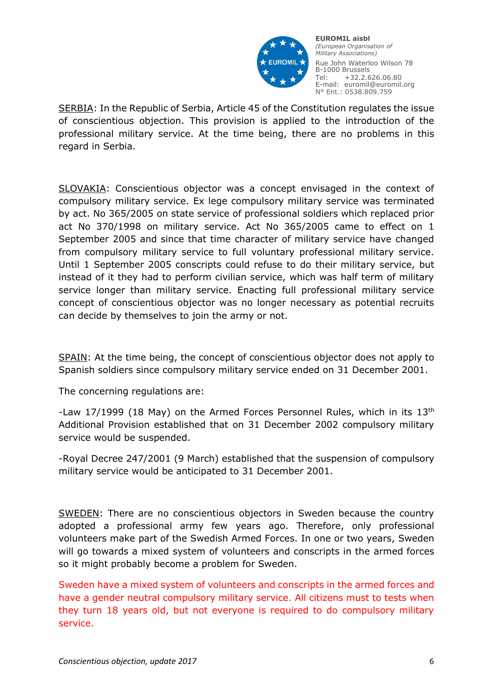

SERBIA: In the Republic of Serbia, Article 45 of the Constitution regulates the issue of conscientious objection. This provision is applied to the introduction of the professional military service. At the time being, there are no problems in this regard in Serbia.

SLOVAKIA: Conscientious objector was a concept envisaged in the context of compulsory military service. Ex lege compulsory military service was terminated by act. No 365/2005 on state service of professional soldiers which replaced prior act No 370/1998 on military service. Act No 365/2005 came to effect on 1 September 2005 and since that time character of military service have changed from compulsory military service to full voluntary professional military service. Until 1 September 2005 conscripts could refuse to do their military service, but instead of it they had to perform civilian service, which was half term of military service longer than military service. Enacting full professional military service concept of conscientious objector was no longer necessary as potential recruits can decide by themselves to join the army or not.

SPAIN: At the time being, the concept of conscientious objector does not apply to Spanish soldiers since compulsory military service ended on 31 December 2001.

The concerning regulations are:

-Law 17/1999 (18 May) on the Armed Forces Personnel Rules, which in its 13<sup>th</sup> Additional Provision established that on 31 December 2002 compulsory military service would be suspended.

-Royal Decree 247/2001 (9 March) established that the suspension of compulsory military service would be anticipated to 31 December 2001.

SWEDEN: There are no conscientious objectors in Sweden because the country adopted a professional army few years ago. Therefore, only professional volunteers make part of the Swedish Armed Forces. In one or two years, Sweden will go towards a mixed system of volunteers and conscripts in the armed forces so it might probably become a problem for Sweden.

Sweden have a mixed system of volunteers and conscripts in the armed forces and have a gender neutral compulsory military service. All citizens must to tests when they turn 18 years old, but not everyone is required to do compulsory military service.